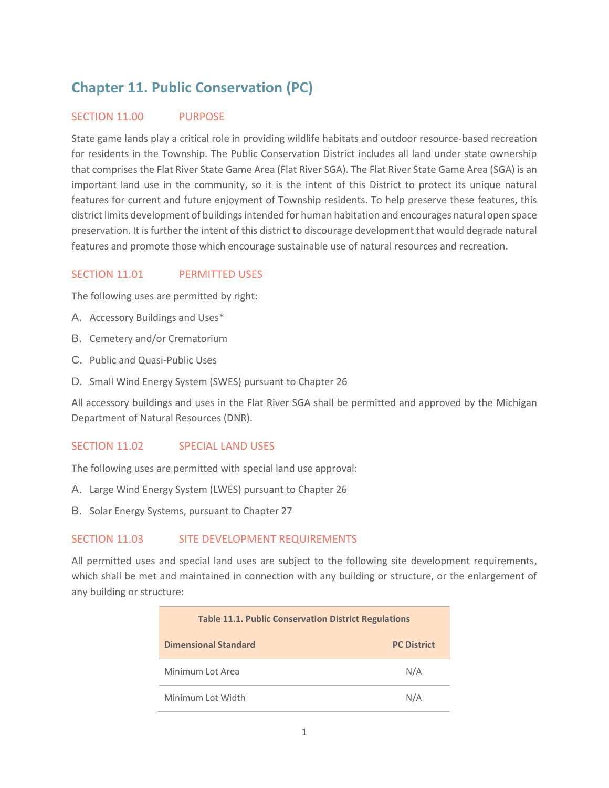# **Chapter 11. Public Conservation (PC)**

## SECTION 11.00 PURPOSE

State game lands play a critical role in providing wildlife habitats and outdoor resource-based recreation for residents in the Township. The Public Conservation District includes all land under state ownership that comprises the Flat River State Game Area (Flat River SGA). The Flat River State Game Area (SGA) is an important land use in the community, so it is the intent of this District to protect its unique natural features for current and future enjoyment of Township residents. To help preserve these features, this district limits development of buildings intended for human habitation and encourages natural open space preservation. It is further the intent of this district to discourage development that would degrade natural features and promote those which encourage sustainable use of natural resources and recreation.

### SECTION 11.01 PERMITTED USES

The following uses are permitted by right:

- A. Accessory Buildings and Uses\*
- B. Cemetery and/or Crematorium
- C. Public and Quasi-Public Uses
- D. Small Wind Energy System (SWES) pursuant to Chapter 26

All accessory buildings and uses in the Flat River SGA shall be permitted and approved by the Michigan Department of Natural Resources (DNR).

#### SECTION 11.02 SPECIAL LAND USES

The following uses are permitted with special land use approval:

- A. Large Wind Energy System (LWES) pursuant to Chapter 26
- B. Solar Energy Systems, pursuant to Chapter 27

### SECTION 11.03 SITE DEVELOPMENT REQUIREMENTS

All permitted uses and special land uses are subject to the following site development requirements, which shall be met and maintained in connection with any building or structure, or the enlargement of any building or structure:

| <b>Table 11.1. Public Conservation District Regulations</b> |                    |
|-------------------------------------------------------------|--------------------|
| <b>Dimensional Standard</b>                                 | <b>PC District</b> |
| Minimum Lot Area                                            | N/A                |
| Minimum Lot Width                                           | N/A                |